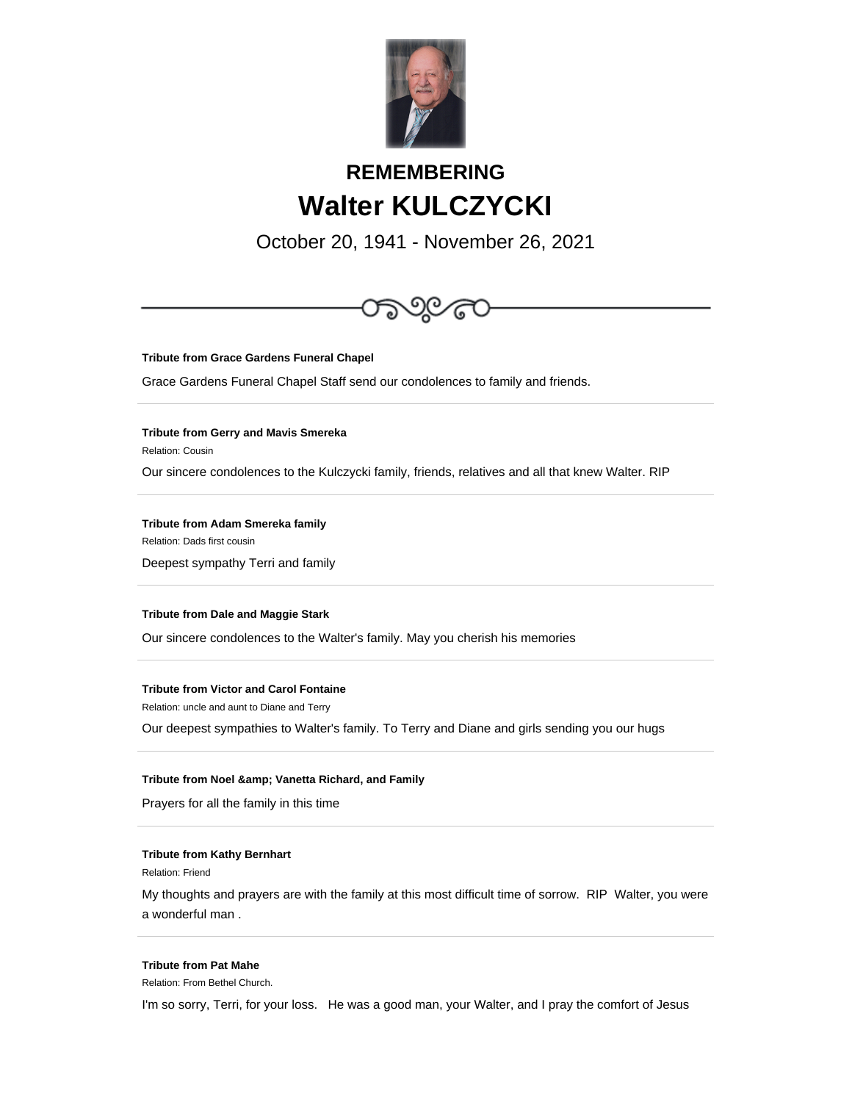

# **REMEMBERING Walter KULCZYCKI**

October 20, 1941 - November 26, 2021



**Tribute from Grace Gardens Funeral Chapel**

Grace Gardens Funeral Chapel Staff send our condolences to family and friends.

**Tribute from Gerry and Mavis Smereka**

Relation: Cousin

Our sincere condolences to the Kulczycki family, friends, relatives and all that knew Walter. RIP

**Tribute from Adam Smereka family**

Relation: Dads first cousin

Deepest sympathy Terri and family

## **Tribute from Dale and Maggie Stark**

Our sincere condolences to the Walter's family. May you cherish his memories

# **Tribute from Victor and Carol Fontaine**

Relation: uncle and aunt to Diane and Terry

Our deepest sympathies to Walter's family. To Terry and Diane and girls sending you our hugs

#### **Tribute from Noel & amp; Vanetta Richard, and Family**

Prayers for all the family in this time

#### **Tribute from Kathy Bernhart**

Relation: Friend

My thoughts and prayers are with the family at this most difficult time of sorrow. RIP Walter, you were a wonderful man .

## **Tribute from Pat Mahe**

Relation: From Bethel Church.

I'm so sorry, Terri, for your loss. He was a good man, your Walter, and I pray the comfort of Jesus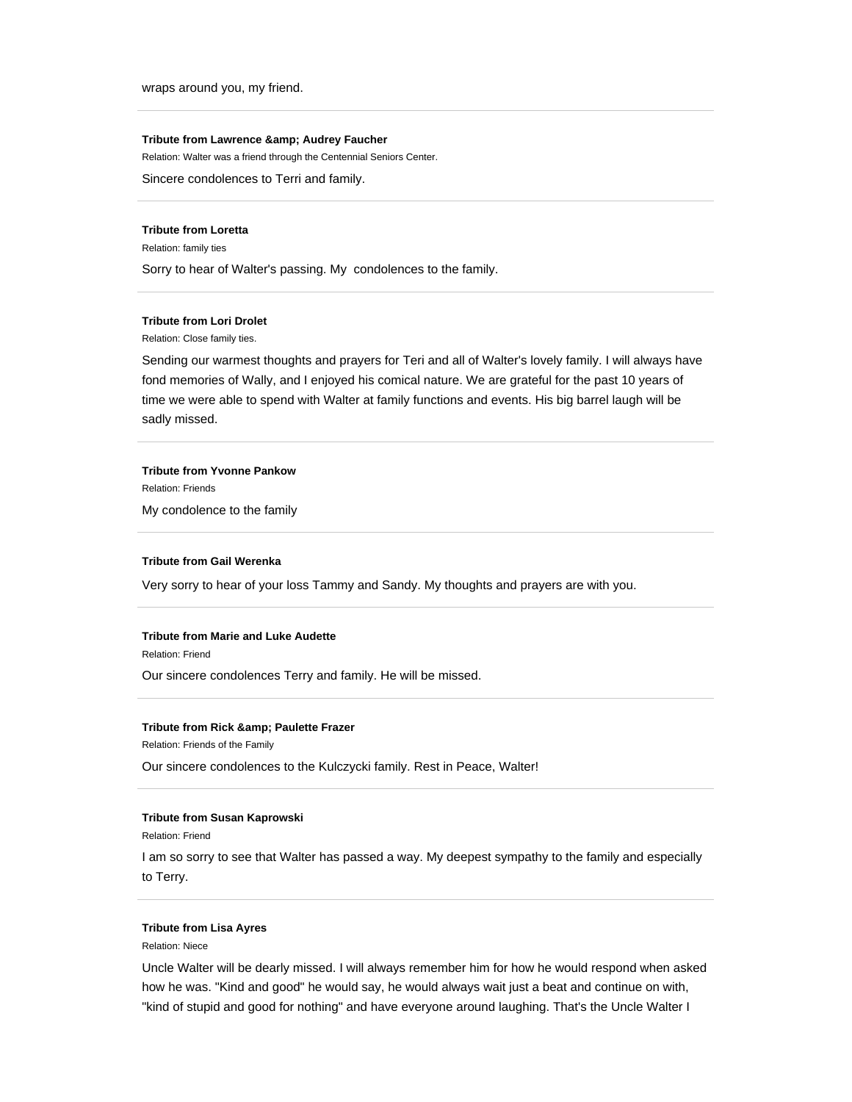wraps around you, my friend.

#### **Tribute from Lawrence & amp; Audrey Faucher**

Relation: Walter was a friend through the Centennial Seniors Center.

Sincere condolences to Terri and family.

#### **Tribute from Loretta**

Relation: family ties

Sorry to hear of Walter's passing. My condolences to the family.

## **Tribute from Lori Drolet**

Relation: Close family ties.

Sending our warmest thoughts and prayers for Teri and all of Walter's lovely family. I will always have fond memories of Wally, and I enjoyed his comical nature. We are grateful for the past 10 years of time we were able to spend with Walter at family functions and events. His big barrel laugh will be sadly missed.

#### **Tribute from Yvonne Pankow**

Relation: Friends

My condolence to the family

#### **Tribute from Gail Werenka**

Very sorry to hear of your loss Tammy and Sandy. My thoughts and prayers are with you.

### **Tribute from Marie and Luke Audette**

Relation: Friend

Our sincere condolences Terry and family. He will be missed.

## **Tribute from Rick & amp; Paulette Frazer**

Relation: Friends of the Family

Our sincere condolences to the Kulczycki family. Rest in Peace, Walter!

#### **Tribute from Susan Kaprowski**

Relation: Friend

I am so sorry to see that Walter has passed a way. My deepest sympathy to the family and especially to Terry.

#### **Tribute from Lisa Ayres**

Relation: Niece

Uncle Walter will be dearly missed. I will always remember him for how he would respond when asked how he was. "Kind and good" he would say, he would always wait just a beat and continue on with, "kind of stupid and good for nothing" and have everyone around laughing. That's the Uncle Walter I